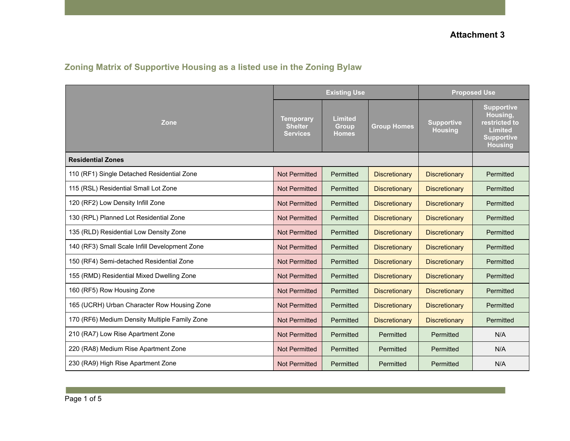|  | Zoning Matrix of Supportive Housing as a listed use in the Zoning Bylaw |  |  |  |  |
|--|-------------------------------------------------------------------------|--|--|--|--|
|--|-------------------------------------------------------------------------|--|--|--|--|

|                                               |                                                       | <b>Existing Use</b>                            |                      | <b>Proposed Use</b>          |                                                                                                         |
|-----------------------------------------------|-------------------------------------------------------|------------------------------------------------|----------------------|------------------------------|---------------------------------------------------------------------------------------------------------|
| Zone                                          | <b>Temporary</b><br><b>Shelter</b><br><b>Services</b> | <b>Limited</b><br><b>Group</b><br><b>Homes</b> | <b>Group Homes</b>   | <b>Supportive</b><br>Housing | <b>Supportive</b><br>Housing,<br>restricted to<br><b>Limited</b><br><b>Supportive</b><br><b>Housing</b> |
| <b>Residential Zones</b>                      |                                                       |                                                |                      |                              |                                                                                                         |
| 110 (RF1) Single Detached Residential Zone    | <b>Not Permitted</b>                                  | Permitted                                      | <b>Discretionary</b> | <b>Discretionary</b>         | Permitted                                                                                               |
| 115 (RSL) Residential Small Lot Zone          | <b>Not Permitted</b>                                  | Permitted                                      | <b>Discretionary</b> | <b>Discretionary</b>         | Permitted                                                                                               |
| 120 (RF2) Low Density Infill Zone             | <b>Not Permitted</b>                                  | Permitted                                      | <b>Discretionary</b> | <b>Discretionary</b>         | Permitted                                                                                               |
| 130 (RPL) Planned Lot Residential Zone        | <b>Not Permitted</b>                                  | Permitted                                      | <b>Discretionary</b> | <b>Discretionary</b>         | Permitted                                                                                               |
| 135 (RLD) Residential Low Density Zone        | <b>Not Permitted</b>                                  | Permitted                                      | <b>Discretionary</b> | <b>Discretionary</b>         | Permitted                                                                                               |
| 140 (RF3) Small Scale Infill Development Zone | <b>Not Permitted</b>                                  | Permitted                                      | <b>Discretionary</b> | <b>Discretionary</b>         | Permitted                                                                                               |
| 150 (RF4) Semi-detached Residential Zone      | <b>Not Permitted</b>                                  | Permitted                                      | <b>Discretionary</b> | <b>Discretionary</b>         | Permitted                                                                                               |
| 155 (RMD) Residential Mixed Dwelling Zone     | <b>Not Permitted</b>                                  | Permitted                                      | <b>Discretionary</b> | <b>Discretionary</b>         | Permitted                                                                                               |
| 160 (RF5) Row Housing Zone                    | <b>Not Permitted</b>                                  | Permitted                                      | <b>Discretionary</b> | <b>Discretionary</b>         | Permitted                                                                                               |
| 165 (UCRH) Urban Character Row Housing Zone   | <b>Not Permitted</b>                                  | Permitted                                      | <b>Discretionary</b> | <b>Discretionary</b>         | Permitted                                                                                               |
| 170 (RF6) Medium Density Multiple Family Zone | <b>Not Permitted</b>                                  | Permitted                                      | <b>Discretionary</b> | <b>Discretionary</b>         | Permitted                                                                                               |
| 210 (RA7) Low Rise Apartment Zone             | <b>Not Permitted</b>                                  | Permitted                                      | Permitted            | Permitted                    | N/A                                                                                                     |
| 220 (RA8) Medium Rise Apartment Zone          | <b>Not Permitted</b>                                  | Permitted                                      | Permitted            | Permitted                    | N/A                                                                                                     |
| 230 (RA9) High Rise Apartment Zone            | <b>Not Permitted</b>                                  | Permitted                                      | Permitted            | Permitted                    | N/A                                                                                                     |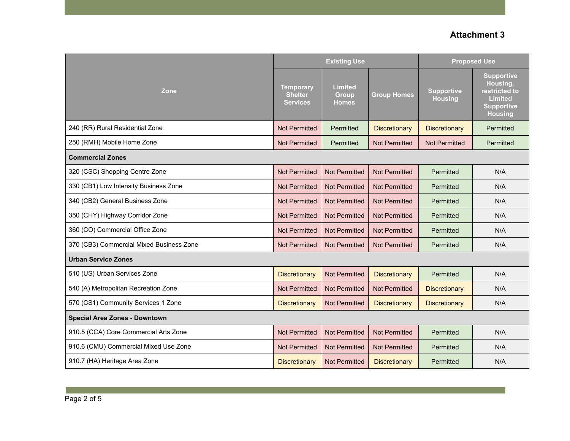|                                          |                                                       | <b>Existing Use</b>                     |                      | <b>Proposed Use</b>                 |                                                                                                         |  |
|------------------------------------------|-------------------------------------------------------|-----------------------------------------|----------------------|-------------------------------------|---------------------------------------------------------------------------------------------------------|--|
| Zone                                     | <b>Temporary</b><br><b>Shelter</b><br><b>Services</b> | <b>Limited</b><br>Group<br><b>Homes</b> | <b>Group Homes</b>   | <b>Supportive</b><br><b>Housing</b> | <b>Supportive</b><br>Housing,<br>restricted to<br><b>Limited</b><br><b>Supportive</b><br><b>Housing</b> |  |
| 240 (RR) Rural Residential Zone          | <b>Not Permitted</b>                                  | Permitted                               | <b>Discretionary</b> | Discretionary                       | Permitted                                                                                               |  |
| 250 (RMH) Mobile Home Zone               | <b>Not Permitted</b>                                  | Permitted                               | <b>Not Permitted</b> | <b>Not Permitted</b>                | Permitted                                                                                               |  |
| <b>Commercial Zones</b>                  |                                                       |                                         |                      |                                     |                                                                                                         |  |
| 320 (CSC) Shopping Centre Zone           | <b>Not Permitted</b>                                  | <b>Not Permitted</b>                    | <b>Not Permitted</b> | Permitted                           | N/A                                                                                                     |  |
| 330 (CB1) Low Intensity Business Zone    | <b>Not Permitted</b>                                  | <b>Not Permitted</b>                    | <b>Not Permitted</b> | Permitted                           | N/A                                                                                                     |  |
| 340 (CB2) General Business Zone          | <b>Not Permitted</b>                                  | <b>Not Permitted</b>                    | <b>Not Permitted</b> | Permitted                           | N/A                                                                                                     |  |
| 350 (CHY) Highway Corridor Zone          | <b>Not Permitted</b>                                  | <b>Not Permitted</b>                    | <b>Not Permitted</b> | Permitted                           | N/A                                                                                                     |  |
| 360 (CO) Commercial Office Zone          | <b>Not Permitted</b>                                  | <b>Not Permitted</b>                    | <b>Not Permitted</b> | Permitted                           | N/A                                                                                                     |  |
| 370 (CB3) Commercial Mixed Business Zone | <b>Not Permitted</b>                                  | <b>Not Permitted</b>                    | <b>Not Permitted</b> | Permitted                           | N/A                                                                                                     |  |
| <b>Urban Service Zones</b>               |                                                       |                                         |                      |                                     |                                                                                                         |  |
| 510 (US) Urban Services Zone             | <b>Discretionary</b>                                  | <b>Not Permitted</b>                    | <b>Discretionary</b> | Permitted                           | N/A                                                                                                     |  |
| 540 (A) Metropolitan Recreation Zone     | <b>Not Permitted</b>                                  | <b>Not Permitted</b>                    | <b>Not Permitted</b> | <b>Discretionary</b>                | N/A                                                                                                     |  |
| 570 (CS1) Community Services 1 Zone      | <b>Discretionary</b>                                  | <b>Not Permitted</b>                    | <b>Discretionary</b> | <b>Discretionary</b>                | N/A                                                                                                     |  |
| <b>Special Area Zones - Downtown</b>     |                                                       |                                         |                      |                                     |                                                                                                         |  |
| 910.5 (CCA) Core Commercial Arts Zone    | <b>Not Permitted</b>                                  | <b>Not Permitted</b>                    | <b>Not Permitted</b> | Permitted                           | N/A                                                                                                     |  |
| 910.6 (CMU) Commercial Mixed Use Zone    | <b>Not Permitted</b>                                  | <b>Not Permitted</b>                    | <b>Not Permitted</b> | Permitted                           | N/A                                                                                                     |  |
| 910.7 (HA) Heritage Area Zone            | <b>Discretionary</b>                                  | <b>Not Permitted</b>                    | <b>Discretionary</b> | Permitted                           | N/A                                                                                                     |  |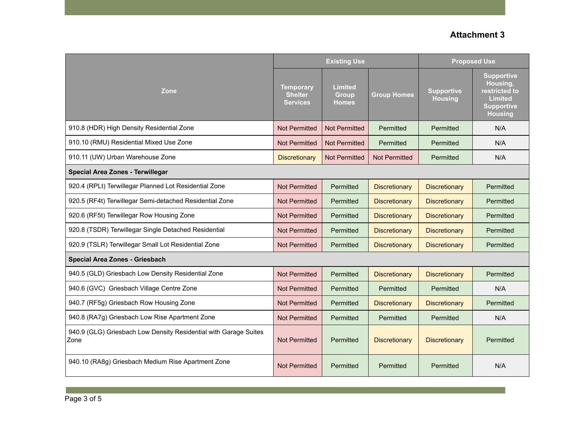|                                                                          |                                                       | <b>Existing Use</b>                            |                      | <b>Proposed Use</b>                 |                                                                                                         |  |
|--------------------------------------------------------------------------|-------------------------------------------------------|------------------------------------------------|----------------------|-------------------------------------|---------------------------------------------------------------------------------------------------------|--|
| Zone                                                                     | <b>Temporary</b><br><b>Shelter</b><br><b>Services</b> | <b>Limited</b><br><b>Group</b><br><b>Homes</b> | <b>Group Homes</b>   | <b>Supportive</b><br><b>Housing</b> | <b>Supportive</b><br>Housing,<br>restricted to<br><b>Limited</b><br><b>Supportive</b><br><b>Housing</b> |  |
| 910.8 (HDR) High Density Residential Zone                                | <b>Not Permitted</b>                                  | <b>Not Permitted</b>                           | Permitted            | Permitted                           | N/A                                                                                                     |  |
| 910.10 (RMU) Residential Mixed Use Zone                                  | <b>Not Permitted</b>                                  | <b>Not Permitted</b>                           | Permitted            | Permitted                           | N/A                                                                                                     |  |
| 910.11 (UW) Urban Warehouse Zone                                         | <b>Discretionary</b>                                  | <b>Not Permitted</b>                           | <b>Not Permitted</b> | Permitted                           | N/A                                                                                                     |  |
| <b>Special Area Zones - Terwillegar</b>                                  |                                                       |                                                |                      |                                     |                                                                                                         |  |
| 920.4 (RPLt) Terwillegar Planned Lot Residential Zone                    | <b>Not Permitted</b>                                  | Permitted                                      | <b>Discretionary</b> | <b>Discretionary</b>                | Permitted                                                                                               |  |
| 920.5 (RF4t) Terwillegar Semi-detached Residential Zone                  | <b>Not Permitted</b>                                  | Permitted                                      | <b>Discretionary</b> | <b>Discretionary</b>                | Permitted                                                                                               |  |
| 920.6 (RF5t) Terwillegar Row Housing Zone                                | <b>Not Permitted</b>                                  | Permitted                                      | <b>Discretionary</b> | <b>Discretionary</b>                | Permitted                                                                                               |  |
| 920.8 (TSDR) Terwillegar Single Detached Residential                     | <b>Not Permitted</b>                                  | Permitted                                      | <b>Discretionary</b> | <b>Discretionary</b>                | Permitted                                                                                               |  |
| 920.9 (TSLR) Terwillegar Small Lot Residential Zone                      | <b>Not Permitted</b>                                  | Permitted                                      | <b>Discretionary</b> | <b>Discretionary</b>                | Permitted                                                                                               |  |
| <b>Special Area Zones - Griesbach</b>                                    |                                                       |                                                |                      |                                     |                                                                                                         |  |
| 940.5 (GLD) Griesbach Low Density Residential Zone                       | <b>Not Permitted</b>                                  | Permitted                                      | <b>Discretionary</b> | <b>Discretionary</b>                | Permitted                                                                                               |  |
| 940.6 (GVC) Griesbach Village Centre Zone                                | <b>Not Permitted</b>                                  | Permitted                                      | Permitted            | Permitted                           | N/A                                                                                                     |  |
| 940.7 (RF5g) Griesbach Row Housing Zone                                  | <b>Not Permitted</b>                                  | Permitted                                      | <b>Discretionary</b> | <b>Discretionary</b>                | Permitted                                                                                               |  |
| 940.8 (RA7g) Griesbach Low Rise Apartment Zone                           | <b>Not Permitted</b>                                  | Permitted                                      | Permitted            | Permitted                           | N/A                                                                                                     |  |
| 940.9 (GLG) Griesbach Low Density Residential with Garage Suites<br>Zone | <b>Not Permitted</b>                                  | Permitted                                      | <b>Discretionary</b> | <b>Discretionary</b>                | Permitted                                                                                               |  |
| 940.10 (RA8g) Griesbach Medium Rise Apartment Zone                       | <b>Not Permitted</b>                                  | Permitted                                      | Permitted            | Permitted                           | N/A                                                                                                     |  |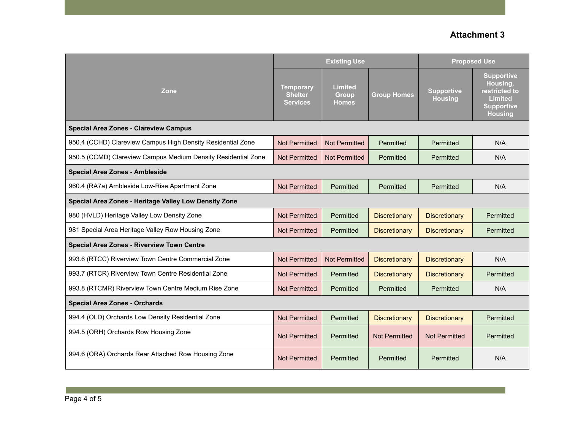|                                                               |                                                       | <b>Existing Use</b>                            |                      | <b>Proposed Use</b>                 |                                                                                                         |  |
|---------------------------------------------------------------|-------------------------------------------------------|------------------------------------------------|----------------------|-------------------------------------|---------------------------------------------------------------------------------------------------------|--|
| Zone                                                          | <b>Temporary</b><br><b>Shelter</b><br><b>Services</b> | <b>Limited</b><br><b>Group</b><br><b>Homes</b> | <b>Group Homes</b>   | <b>Supportive</b><br><b>Housing</b> | <b>Supportive</b><br>Housing,<br>restricted to<br><b>Limited</b><br><b>Supportive</b><br><b>Housing</b> |  |
| <b>Special Area Zones - Clareview Campus</b>                  |                                                       |                                                |                      |                                     |                                                                                                         |  |
| 950.4 (CCHD) Clareview Campus High Density Residential Zone   | <b>Not Permitted</b>                                  | <b>Not Permitted</b>                           | Permitted            | Permitted                           | N/A                                                                                                     |  |
| 950.5 (CCMD) Clareview Campus Medium Density Residential Zone | Not Permitted                                         | <b>Not Permitted</b>                           | Permitted            | Permitted                           | N/A                                                                                                     |  |
| <b>Special Area Zones - Ambleside</b>                         |                                                       |                                                |                      |                                     |                                                                                                         |  |
| 960.4 (RA7a) Ambleside Low-Rise Apartment Zone                | <b>Not Permitted</b>                                  | Permitted                                      | Permitted            | Permitted                           | N/A                                                                                                     |  |
| Special Area Zones - Heritage Valley Low Density Zone         |                                                       |                                                |                      |                                     |                                                                                                         |  |
| 980 (HVLD) Heritage Valley Low Density Zone                   | <b>Not Permitted</b>                                  | Permitted                                      | <b>Discretionary</b> | <b>Discretionary</b>                | Permitted                                                                                               |  |
| 981 Special Area Heritage Valley Row Housing Zone             | <b>Not Permitted</b>                                  | Permitted                                      | <b>Discretionary</b> | <b>Discretionary</b>                | Permitted                                                                                               |  |
| <b>Special Area Zones - Riverview Town Centre</b>             |                                                       |                                                |                      |                                     |                                                                                                         |  |
| 993.6 (RTCC) Riverview Town Centre Commercial Zone            | <b>Not Permitted</b>                                  | <b>Not Permitted</b>                           | <b>Discretionary</b> | <b>Discretionary</b>                | N/A                                                                                                     |  |
| 993.7 (RTCR) Riverview Town Centre Residential Zone           | <b>Not Permitted</b>                                  | Permitted                                      | <b>Discretionary</b> | <b>Discretionary</b>                | Permitted                                                                                               |  |
| 993.8 (RTCMR) Riverview Town Centre Medium Rise Zone          | <b>Not Permitted</b>                                  | Permitted                                      | Permitted            | Permitted                           | N/A                                                                                                     |  |
| <b>Special Area Zones - Orchards</b>                          |                                                       |                                                |                      |                                     |                                                                                                         |  |
| 994.4 (OLD) Orchards Low Density Residential Zone             | <b>Not Permitted</b>                                  | Permitted                                      | <b>Discretionary</b> | <b>Discretionary</b>                | Permitted                                                                                               |  |
| 994.5 (ORH) Orchards Row Housing Zone                         | <b>Not Permitted</b>                                  | Permitted                                      | <b>Not Permitted</b> | <b>Not Permitted</b>                | Permitted                                                                                               |  |
| 994.6 (ORA) Orchards Rear Attached Row Housing Zone           | <b>Not Permitted</b>                                  | Permitted                                      | Permitted            | Permitted                           | N/A                                                                                                     |  |